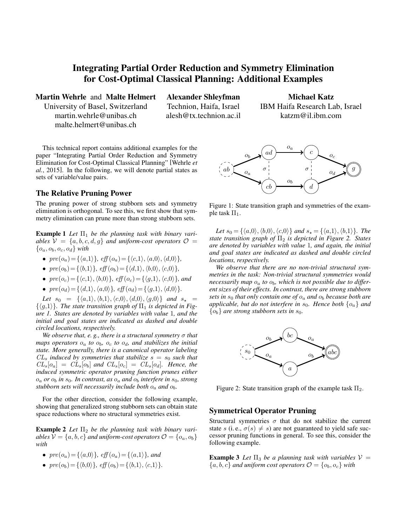## Integrating Partial Order Reduction and Symmetry Elimination for Cost-Optimal Classical Planning: Additional Examples

Martin Wehrle and Malte Helmert

University of Basel, Switzerland martin.wehrle@unibas.ch malte.helmert@unibas.ch

Alexander Shleyfman Technion, Haifa, Israel alesh@tx.technion.ac.il

Michael Katz IBM Haifa Research Lab, Israel katzm@il.ibm.com

This technical report contains additional examples for the paper "Integrating Partial Order Reduction and Symmetry Elimination for Cost-Optimal Classical Planning" [Wehrle *et al.*, 2015]. In the following, we will denote partial states as sets of variable/value pairs.

## The Relative Pruning Power

The pruning power of strong stubborn sets and symmetry elimination is orthogonal. To see this, we first show that symmetry elimination can prune more than strong stubborn sets.

**Example 1** Let  $\Pi_1$  be the planning task with binary vari*ables*  $V = \{a, b, c, d, g\}$  *and uniform-cost operators*  $O =$  ${o_a, o_b, o_c, o_d}$  *with* 

- $pre(o_a) = \{\langle a,1\rangle\}, \text{eff}(o_a) = \{\langle c,1\rangle, \langle a,0\rangle, \langle d,0\rangle\},\}$
- $pre(o_b) = \{\langle b,1\rangle\}, \text{ eff}(o_b) = \{\langle d,1\rangle, \langle b,0\rangle, \langle c,0\rangle\},\}$
- $pre(o_c) = \{\langle c,1\rangle, \langle b,0\rangle\}$ *, eff*  $(o_c) = \{\langle q,1\rangle, \langle c,0\rangle\}$ *, and*
- $pre(o_d) = {\langle d,1\rangle, \langle a,0\rangle}, \text{ eff}(o_d) = {\langle g,1\rangle, \langle d,0\rangle}.$

*Let*  $s_0 = {\langle \langle a,1 \rangle, \langle b,1 \rangle, \langle c,0 \rangle, \langle d,0 \rangle, \langle g,0 \rangle \}$  *and*  $s_* =$  $\{\langle g,1\rangle\}$ *. The state transition graph of*  $\Pi_1$  *is depicted in Figure 1. States are denoted by variables with value* 1*, and the initial and goal states are indicated as dashed and double circled locations, respectively.*

*We observe that, e. g., there is a structural symmetry* σ *that maps operators*  $o_a$  *to*  $o_b$ ,  $o_c$  *to*  $o_d$ , *and stabilizes the initial state. More generally, there is a canonical operator labeling*  $CL<sub>s</sub>$  *induced by symmetries that stabilize*  $s = s_0$  *such that*  $CL_s[o_a] = CL_s[o_b]$  and  $CL_s[o_c] = CL_s[o_d]$ . Hence, the *induced symmetric operator pruning function prunes either*  $o_a$  *or*  $o_b$  *in*  $s_0$ *. In contrast, as*  $o_a$  *and*  $o_b$  *interfere in*  $s_0$ *, strong stubborn sets will necessarily include both*  $o_a$  *and*  $o_b$ *.* 

For the other direction, consider the following example, showing that generalized strong stubborn sets can obtain state space reductions where no structural symmetries exist.

**Example 2** Let  $\Pi_2$  be the planning task with binary vari*ables*  $V = \{a, b, c\}$  *and uniform-cost operators*  $\mathcal{O} = \{o_a, o_b\}$ *with*

- $pre(o_a) = \{\langle a,0\rangle\}, \text{ eff}(o_a) = \{\langle a,1\rangle\}, \text{ and}$
- $pre(o_b) = \{ \langle b,0 \rangle \}, \text{ eff}(o_b) = \{ \langle b,1 \rangle, \langle c,1 \rangle \}.$



Figure 1: State transition graph and symmetries of the example task  $\Pi_1$ .

*Let*  $s_0 = {\langle a,0\rangle, \langle b,0\rangle, \langle c,0\rangle}$  *and*  $s_* = {\langle a,1\rangle, \langle b,1\rangle}$ *. The state transition graph of*  $\Pi$ <sub>2</sub> *is depicted in Figure 2. States are denoted by variables with value* 1*, and again, the initial and goal states are indicated as dashed and double circled locations, respectively.*

*We observe that there are no non-trivial structural symmetries in the task: Non-trivial structural symmetries would necessarily map* o<sup>a</sup> *to* ob*, which is not possible due to different sizes of their effects. In contrast, there are strong stubborn sets in*  $s_0$  *that only contain one of*  $o_a$  *and*  $o_b$  *because both are applicable, but do not interfere in*  $s_0$ *. Hence both*  $\{o_a\}$  *and*  ${o_b}$  *are strong stubborn sets in s*<sub>0</sub>.



Figure 2: State transition graph of the example task  $\Pi_2$ .

## Symmetrical Operator Pruning

Structural symmetries  $\sigma$  that do not stabilize the current state s (i. e.,  $\sigma(s) \neq s$ ) are not guaranteed to yield safe successor pruning functions in general. To see this, consider the following example.

**Example 3** Let  $\Pi_3$  be a planning task with variables  $V =$  ${a, b, c}$  *and uniform cost operators*  $\mathcal{O} = {o_b, o_c}$  *with*